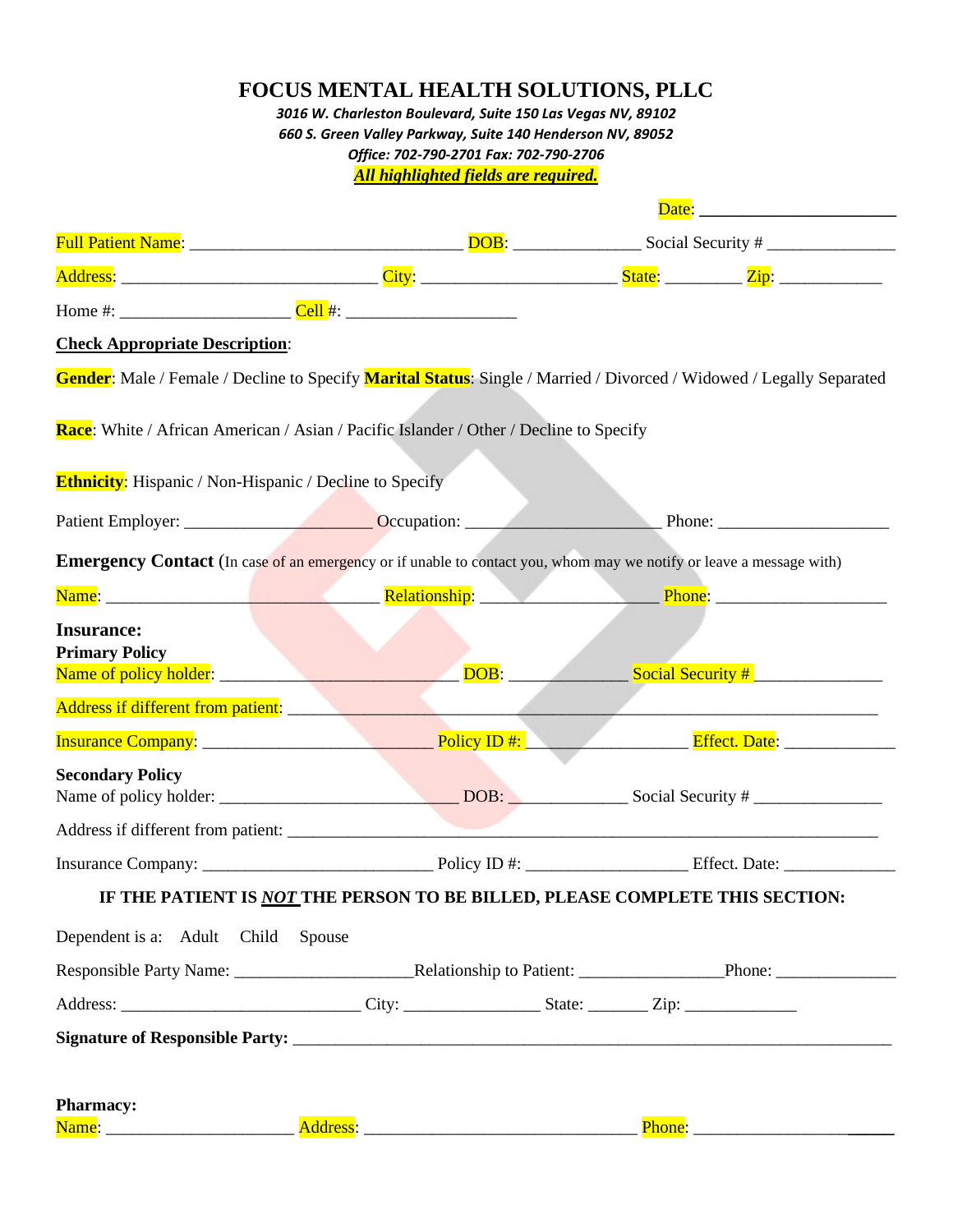|                                                                                                                            | <b>FOCUS MENTAL HEALTH SOLUTIONS, PLLC</b><br>3016 W. Charleston Boulevard, Suite 150 Las Vegas NV, 89102 |  |                              |
|----------------------------------------------------------------------------------------------------------------------------|-----------------------------------------------------------------------------------------------------------|--|------------------------------|
|                                                                                                                            | 660 S. Green Valley Parkway, Suite 140 Henderson NV, 89052                                                |  |                              |
|                                                                                                                            | Office: 702-790-2701 Fax: 702-790-2706<br><b>All highlighted fields are required.</b>                     |  |                              |
|                                                                                                                            |                                                                                                           |  | Date: 2008                   |
|                                                                                                                            |                                                                                                           |  |                              |
|                                                                                                                            |                                                                                                           |  |                              |
|                                                                                                                            |                                                                                                           |  |                              |
| <b>Check Appropriate Description:</b>                                                                                      |                                                                                                           |  |                              |
| Gender: Male / Female / Decline to Specify Marital Status: Single / Married / Divorced / Widowed / Legally Separated       |                                                                                                           |  |                              |
|                                                                                                                            |                                                                                                           |  |                              |
| Race: White / African American / Asian / Pacific Islander / Other / Decline to Specify                                     |                                                                                                           |  |                              |
| <b>Ethnicity:</b> Hispanic / Non-Hispanic / Decline to Specify                                                             |                                                                                                           |  |                              |
| Patient Employer: Contact Decupation: Contact Decupation: Phone: Phone: Phone: 2014                                        |                                                                                                           |  |                              |
| <b>Emergency Contact</b> (In case of an emergency or if unable to contact you, whom may we notify or leave a message with) |                                                                                                           |  |                              |
|                                                                                                                            |                                                                                                           |  |                              |
| <b>Insurance:</b>                                                                                                          |                                                                                                           |  |                              |
| <b>Primary Policy</b>                                                                                                      |                                                                                                           |  |                              |
|                                                                                                                            |                                                                                                           |  | $DOB:$ Social Security #     |
| Address if different from patient: <b>Address if different from patient:</b>                                               |                                                                                                           |  |                              |
| Insurance Company: <u>New York: Policy ID #:</u>                                                                           |                                                                                                           |  | Effect. Date: ______________ |
| <b>Secondary Policy</b>                                                                                                    |                                                                                                           |  |                              |
|                                                                                                                            |                                                                                                           |  |                              |
|                                                                                                                            |                                                                                                           |  |                              |
| IF THE PATIENT IS NOT THE PERSON TO BE BILLED, PLEASE COMPLETE THIS SECTION:                                               |                                                                                                           |  |                              |
|                                                                                                                            |                                                                                                           |  |                              |
| Dependent is a: Adult Child Spouse                                                                                         |                                                                                                           |  |                              |
|                                                                                                                            |                                                                                                           |  |                              |
|                                                                                                                            |                                                                                                           |  |                              |
|                                                                                                                            |                                                                                                           |  |                              |
| <b>Pharmacy:</b>                                                                                                           |                                                                                                           |  |                              |
|                                                                                                                            |                                                                                                           |  |                              |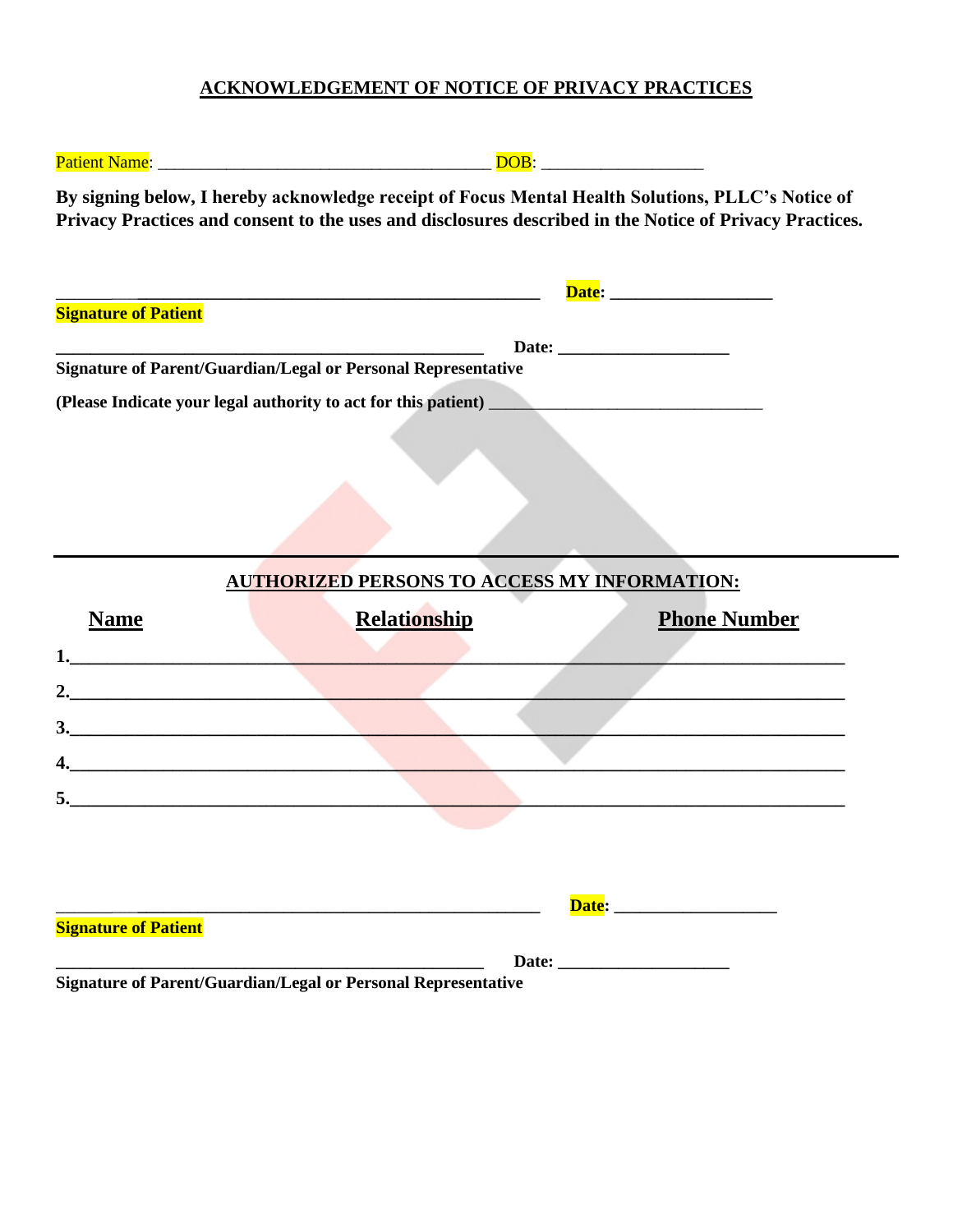# **ACKNOWLEDGEMENT OF NOTICE OF PRIVACY PRACTICES**

| By signing below, I hereby acknowledge receipt of Focus Mental Health Solutions, PLLC's Notice of<br>Privacy Practices and consent to the uses and disclosures described in the Notice of Privacy Practices.<br><u> 2000 - Jan James James James James James James James James James James James James James James James James J</u><br><b>Signature of Patient</b><br>Signature of Parent/Guardian/Legal or Personal Representative<br><b>AUTHORIZED PERSONS TO ACCESS MY INFORMATION:</b><br><b>Relationship</b><br><b>Phone Number</b><br><b>Name</b><br>3.<br>5.<br><b>Signature of Patient</b><br>Signature of Parent/Guardian/Legal or Personal Representative | DOB: ____________________ |  |
|----------------------------------------------------------------------------------------------------------------------------------------------------------------------------------------------------------------------------------------------------------------------------------------------------------------------------------------------------------------------------------------------------------------------------------------------------------------------------------------------------------------------------------------------------------------------------------------------------------------------------------------------------------------------|---------------------------|--|
|                                                                                                                                                                                                                                                                                                                                                                                                                                                                                                                                                                                                                                                                      |                           |  |
|                                                                                                                                                                                                                                                                                                                                                                                                                                                                                                                                                                                                                                                                      |                           |  |
|                                                                                                                                                                                                                                                                                                                                                                                                                                                                                                                                                                                                                                                                      |                           |  |
|                                                                                                                                                                                                                                                                                                                                                                                                                                                                                                                                                                                                                                                                      |                           |  |
|                                                                                                                                                                                                                                                                                                                                                                                                                                                                                                                                                                                                                                                                      |                           |  |
|                                                                                                                                                                                                                                                                                                                                                                                                                                                                                                                                                                                                                                                                      |                           |  |
|                                                                                                                                                                                                                                                                                                                                                                                                                                                                                                                                                                                                                                                                      |                           |  |
|                                                                                                                                                                                                                                                                                                                                                                                                                                                                                                                                                                                                                                                                      |                           |  |
|                                                                                                                                                                                                                                                                                                                                                                                                                                                                                                                                                                                                                                                                      |                           |  |
|                                                                                                                                                                                                                                                                                                                                                                                                                                                                                                                                                                                                                                                                      |                           |  |
|                                                                                                                                                                                                                                                                                                                                                                                                                                                                                                                                                                                                                                                                      |                           |  |
|                                                                                                                                                                                                                                                                                                                                                                                                                                                                                                                                                                                                                                                                      |                           |  |
|                                                                                                                                                                                                                                                                                                                                                                                                                                                                                                                                                                                                                                                                      |                           |  |
|                                                                                                                                                                                                                                                                                                                                                                                                                                                                                                                                                                                                                                                                      |                           |  |
|                                                                                                                                                                                                                                                                                                                                                                                                                                                                                                                                                                                                                                                                      |                           |  |
|                                                                                                                                                                                                                                                                                                                                                                                                                                                                                                                                                                                                                                                                      |                           |  |
|                                                                                                                                                                                                                                                                                                                                                                                                                                                                                                                                                                                                                                                                      |                           |  |
|                                                                                                                                                                                                                                                                                                                                                                                                                                                                                                                                                                                                                                                                      |                           |  |
|                                                                                                                                                                                                                                                                                                                                                                                                                                                                                                                                                                                                                                                                      |                           |  |
|                                                                                                                                                                                                                                                                                                                                                                                                                                                                                                                                                                                                                                                                      |                           |  |
|                                                                                                                                                                                                                                                                                                                                                                                                                                                                                                                                                                                                                                                                      |                           |  |
|                                                                                                                                                                                                                                                                                                                                                                                                                                                                                                                                                                                                                                                                      |                           |  |
|                                                                                                                                                                                                                                                                                                                                                                                                                                                                                                                                                                                                                                                                      |                           |  |
|                                                                                                                                                                                                                                                                                                                                                                                                                                                                                                                                                                                                                                                                      |                           |  |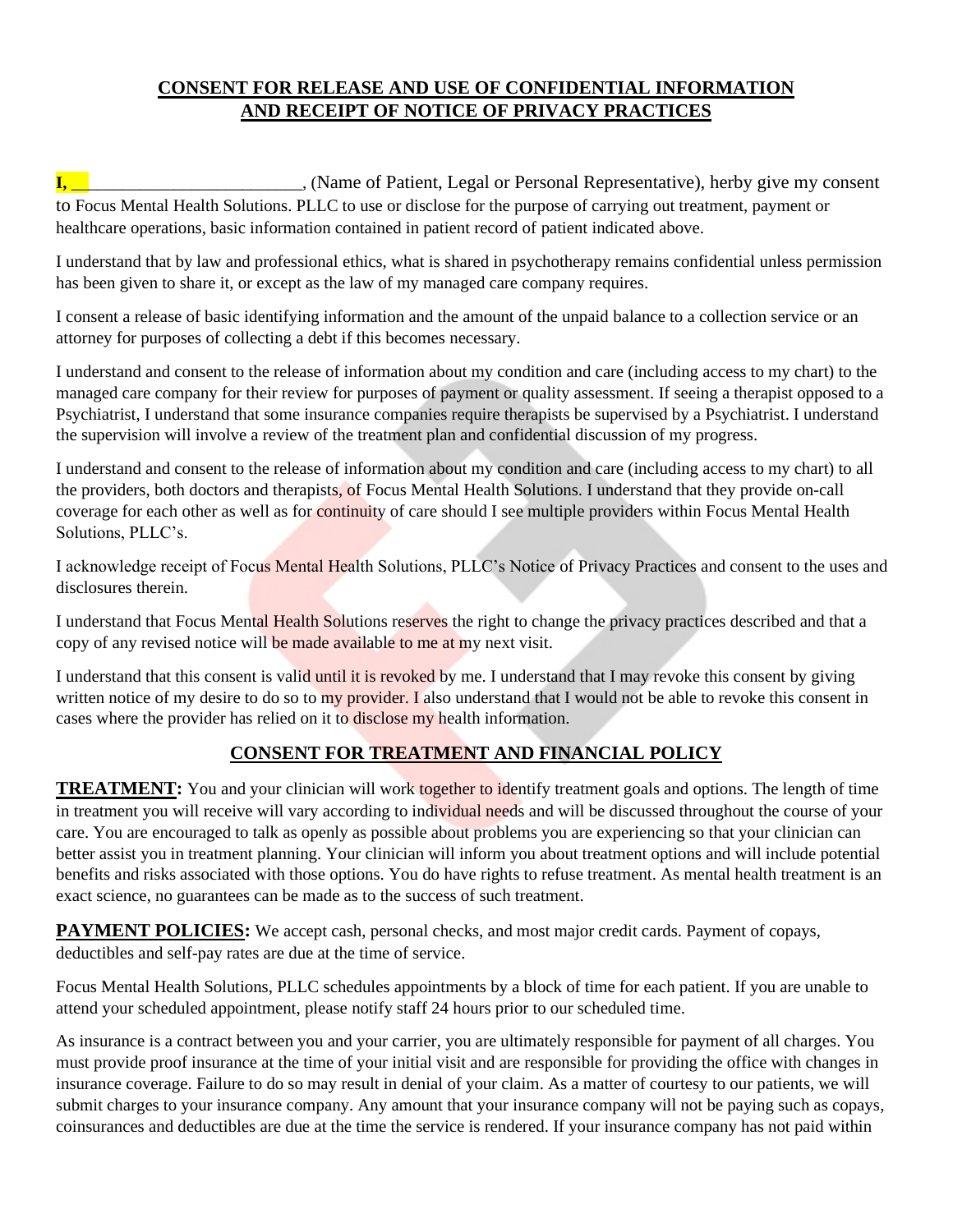# **CONSENT FOR RELEASE AND USE OF CONFIDENTIAL INFORMATION AND RECEIPT OF NOTICE OF PRIVACY PRACTICES**

**I,** \_\_\_\_\_\_\_\_\_\_\_\_\_\_\_\_\_\_\_\_\_\_\_\_\_\_\_, (Name of Patient, Legal or Personal Representative), herby give my consent to Focus Mental Health Solutions. PLLC to use or disclose for the purpose of carrying out treatment, payment or healthcare operations, basic information contained in patient record of patient indicated above.

I understand that by law and professional ethics, what is shared in psychotherapy remains confidential unless permission has been given to share it, or except as the law of my managed care company requires.

I consent a release of basic identifying information and the amount of the unpaid balance to a collection service or an attorney for purposes of collecting a debt if this becomes necessary.

I understand and consent to the release of information about my condition and care (including access to my chart) to the managed care company for their review for purposes of payment or quality assessment. If seeing a therapist opposed to a Psychiatrist, I understand that some insurance companies require therapists be supervised by a Psychiatrist. I understand the supervision will involve a review of the treatment plan and confidential discussion of my progress.

I understand and consent to the release of information about my condition and care (including access to my chart) to all the providers, both doctors and therapists, of Focus Mental Health Solutions. I understand that they provide on-call coverage for each other as well as for continuity of care should I see multiple providers within Focus Mental Health Solutions, PLLC's.

I acknowledge receipt of Focus Mental Health Solutions, PLLC's Notice of Privacy Practices and consent to the uses and disclosures therein.

I understand that Focus Mental Health Solutions reserves the right to change the privacy practices described and that a copy of any revised notice will be made available to me at my next visit.

I understand that this consent is valid until it is revoked by me. I understand that I may revoke this consent by giving written notice of my desire to do so to my provider. I also understand that I would not be able to revoke this consent in cases where the provider has relied on it to disclose my health information.

# **CONSENT FOR TREATMENT AND FINANCIAL POLICY**

**TREATMENT:** You and your clinician will work together to identify treatment goals and options. The length of time in treatment you will receive will vary according to individual needs and will be discussed throughout the course of your care. You are encouraged to talk as openly as possible about problems you are experiencing so that your clinician can better assist you in treatment planning. Your clinician will inform you about treatment options and will include potential benefits and risks associated with those options. You do have rights to refuse treatment. As mental health treatment is an exact science, no guarantees can be made as to the success of such treatment.

**PAYMENT POLICIES:** We accept cash, personal checks, and most major credit cards. Payment of copays, deductibles and self-pay rates are due at the time of service.

Focus Mental Health Solutions, PLLC schedules appointments by a block of time for each patient. If you are unable to attend your scheduled appointment, please notify staff 24 hours prior to our scheduled time.

As insurance is a contract between you and your carrier, you are ultimately responsible for payment of all charges. You must provide proof insurance at the time of your initial visit and are responsible for providing the office with changes in insurance coverage. Failure to do so may result in denial of your claim. As a matter of courtesy to our patients, we will submit charges to your insurance company. Any amount that your insurance company will not be paying such as copays, coinsurances and deductibles are due at the time the service is rendered. If your insurance company has not paid within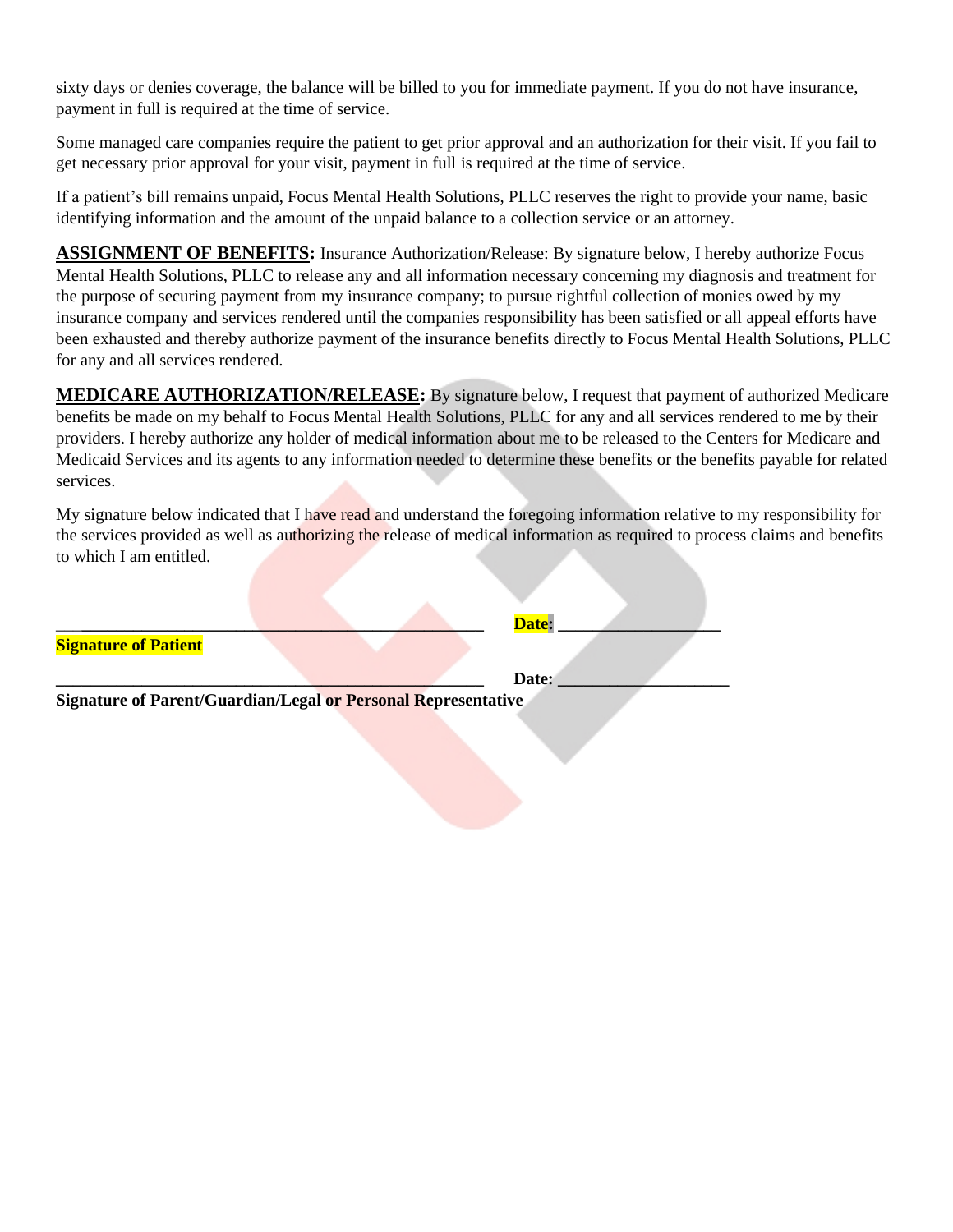sixty days or denies coverage, the balance will be billed to you for immediate payment. If you do not have insurance, payment in full is required at the time of service.

Some managed care companies require the patient to get prior approval and an authorization for their visit. If you fail to get necessary prior approval for your visit, payment in full is required at the time of service.

If a patient's bill remains unpaid, Focus Mental Health Solutions, PLLC reserves the right to provide your name, basic identifying information and the amount of the unpaid balance to a collection service or an attorney.

**ASSIGNMENT OF BENEFITS:** Insurance Authorization/Release: By signature below, I hereby authorize Focus Mental Health Solutions, PLLC to release any and all information necessary concerning my diagnosis and treatment for the purpose of securing payment from my insurance company; to pursue rightful collection of monies owed by my insurance company and services rendered until the companies responsibility has been satisfied or all appeal efforts have been exhausted and thereby authorize payment of the insurance benefits directly to Focus Mental Health Solutions, PLLC for any and all services rendered.

**MEDICARE AUTHORIZATION/RELEASE:** By signature below, I request that payment of authorized Medicare benefits be made on my behalf to Focus Mental Health Solutions, PLLC for any and all services rendered to me by their providers. I hereby authorize any holder of medical information about me to be released to the Centers for Medicare and Medicaid Services and its agents to any information needed to determine these benefits or the benefits payable for related services.

My signature below indicated that I have read and understand the foregoing information relative to my responsibility for the services provided as well as authorizing the release of medical information as required to process claims and benefits to which I am entitled.

**\_\_\_\_\_\_\_\_\_\_\_\_\_\_\_\_\_\_\_\_\_\_\_\_\_\_\_\_\_\_\_\_\_\_\_\_\_\_\_\_\_\_\_\_\_\_\_\_\_\_ Date: \_\_\_\_\_\_\_\_\_\_\_\_\_\_\_\_\_\_\_\_** 

| Signature of Patient |  |  |  |
|----------------------|--|--|--|

**Signature of Parent/Guardian/Legal or Personal Representative**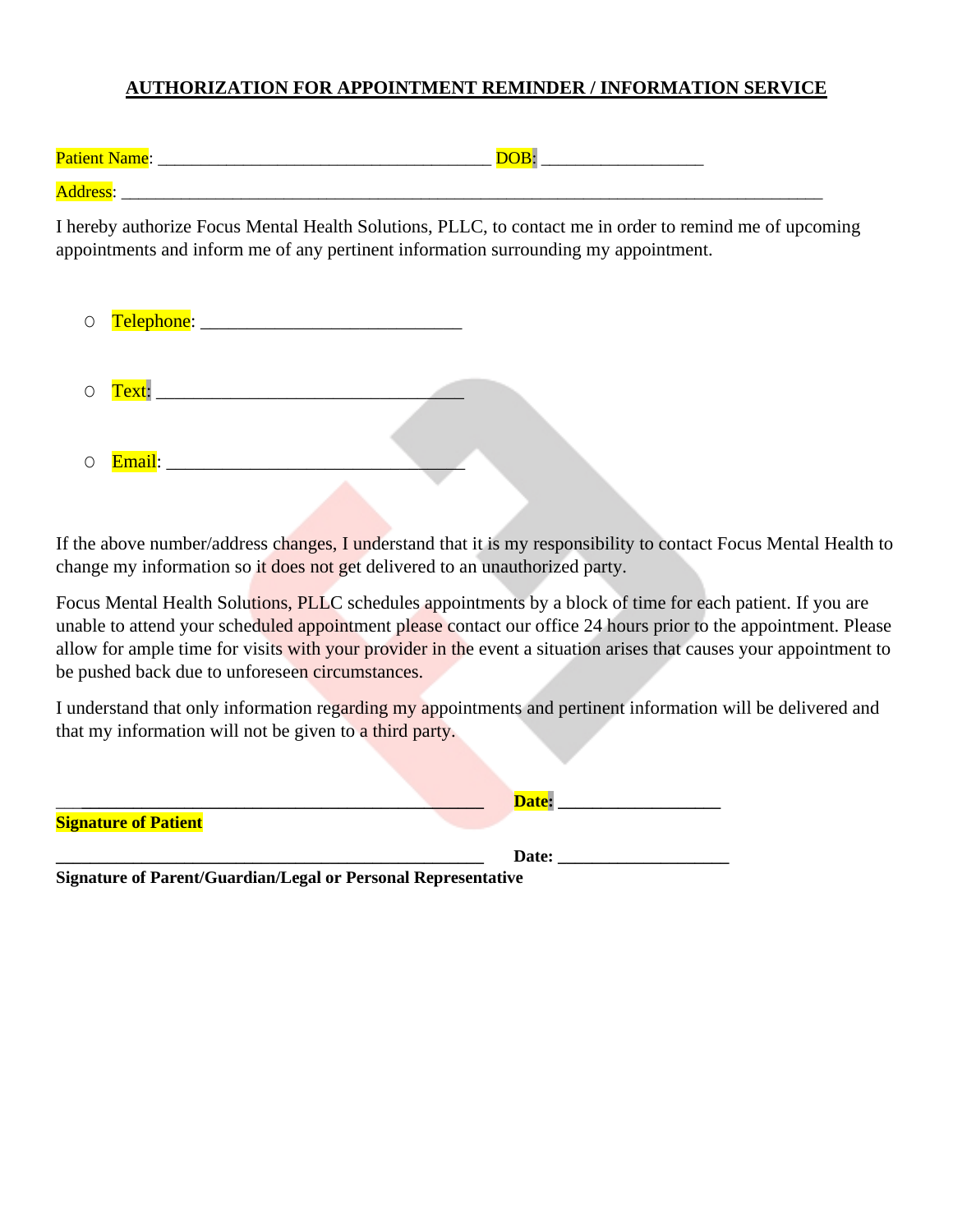#### **AUTHORIZATION FOR APPOINTMENT REMINDER / INFORMATION SERVICE**

| <b>Patient Name:</b> |  |
|----------------------|--|
| Address.             |  |

I hereby authorize Focus Mental Health Solutions, PLLC, to contact me in order to remind me of upcoming appointments and inform me of any pertinent information surrounding my appointment.

| $\bigcirc$ | Telephone: _____ |  |
|------------|------------------|--|
| $\bigcirc$ | Text: ______     |  |
| $\bigcirc$ | Email: _____     |  |

If the above number/address changes, I understand that it is my responsibility to contact Focus Mental Health to change my information so it does not get delivered to an unauthorized party.

Focus Mental Health Solutions, PLLC schedules appointments by a block of time for each patient. If you are unable to attend your scheduled appointment please contact our office 24 hours prior to the appointment. Please allow for ample time for visits with your provider in the event a situation arises that causes your appointment to be pushed back due to unforeseen circumstances.

I understand that only information regarding my appointments and pertinent information will be delivered and that my information will not be given to a third party.

|                             | Date: |  |
|-----------------------------|-------|--|
| <b>Signature of Patient</b> |       |  |
|                             | Date: |  |

**Signature of Parent/Guardian/Legal or Personal Representative**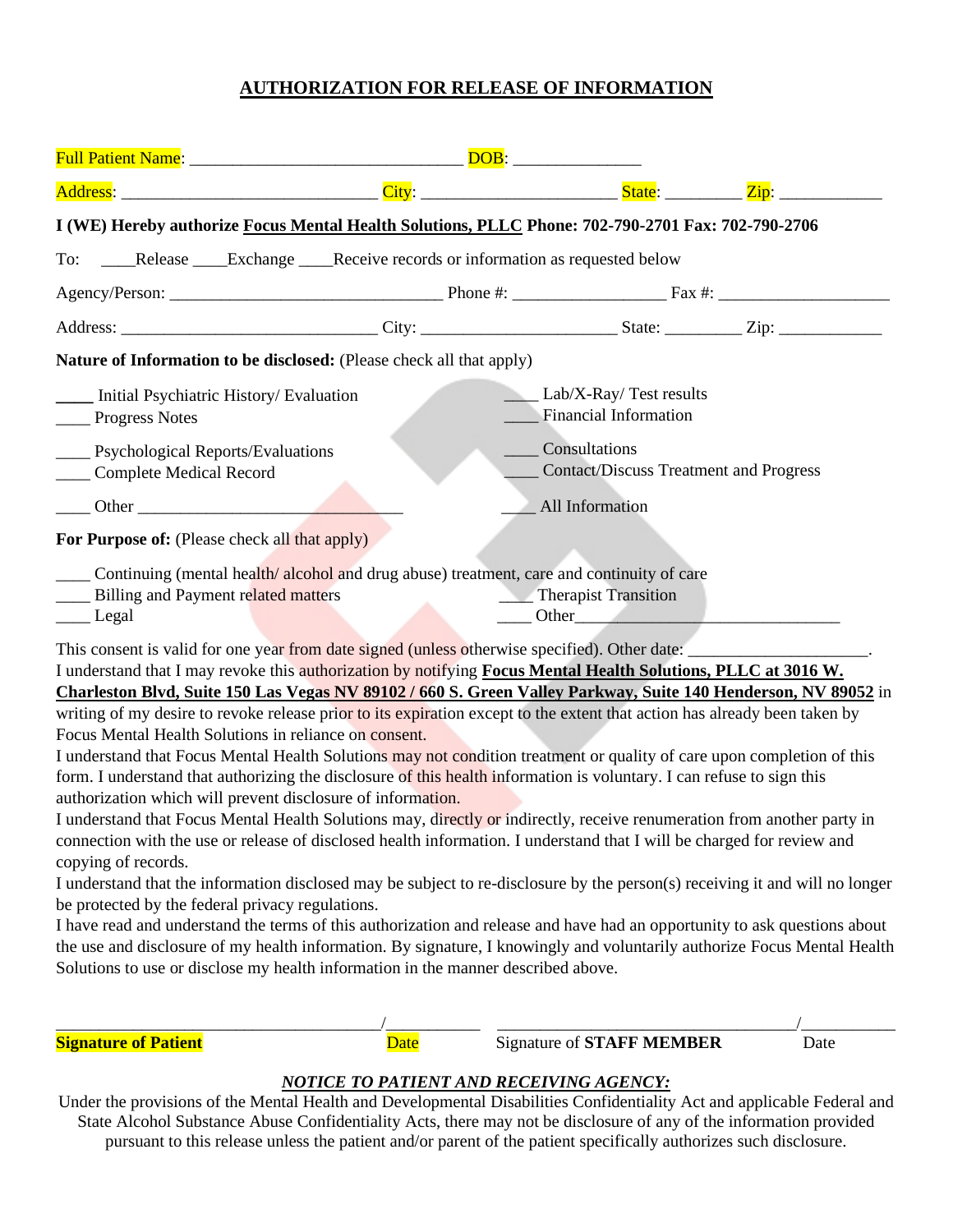#### **AUTHORIZATION FOR RELEASE OF INFORMATION**

| I (WE) Hereby authorize Focus Mental Health Solutions, PLLC Phone: 702-790-2701 Fax: 702-790-2706                                                                                                                                                                                                                                                                                                                                                                                                                                                                                                                                                                                                                                                                                                                                                                                                                                                                                                                                                                                                                                                                                                                                                                                                                  |             |                                                                                                                                                                                                                                                        |      |
|--------------------------------------------------------------------------------------------------------------------------------------------------------------------------------------------------------------------------------------------------------------------------------------------------------------------------------------------------------------------------------------------------------------------------------------------------------------------------------------------------------------------------------------------------------------------------------------------------------------------------------------------------------------------------------------------------------------------------------------------------------------------------------------------------------------------------------------------------------------------------------------------------------------------------------------------------------------------------------------------------------------------------------------------------------------------------------------------------------------------------------------------------------------------------------------------------------------------------------------------------------------------------------------------------------------------|-------------|--------------------------------------------------------------------------------------------------------------------------------------------------------------------------------------------------------------------------------------------------------|------|
| To: ____Release ____Exchange ____Receive records or information as requested below                                                                                                                                                                                                                                                                                                                                                                                                                                                                                                                                                                                                                                                                                                                                                                                                                                                                                                                                                                                                                                                                                                                                                                                                                                 |             |                                                                                                                                                                                                                                                        |      |
|                                                                                                                                                                                                                                                                                                                                                                                                                                                                                                                                                                                                                                                                                                                                                                                                                                                                                                                                                                                                                                                                                                                                                                                                                                                                                                                    |             |                                                                                                                                                                                                                                                        |      |
|                                                                                                                                                                                                                                                                                                                                                                                                                                                                                                                                                                                                                                                                                                                                                                                                                                                                                                                                                                                                                                                                                                                                                                                                                                                                                                                    |             |                                                                                                                                                                                                                                                        |      |
| Nature of Information to be disclosed: (Please check all that apply)                                                                                                                                                                                                                                                                                                                                                                                                                                                                                                                                                                                                                                                                                                                                                                                                                                                                                                                                                                                                                                                                                                                                                                                                                                               |             |                                                                                                                                                                                                                                                        |      |
| ____ Initial Psychiatric History/ Evaluation<br>_____ Progress Notes                                                                                                                                                                                                                                                                                                                                                                                                                                                                                                                                                                                                                                                                                                                                                                                                                                                                                                                                                                                                                                                                                                                                                                                                                                               |             | Lab/X-Ray/Test results<br>Financial Information                                                                                                                                                                                                        |      |
| ____ Psychological Reports/Evaluations<br>Complete Medical Record                                                                                                                                                                                                                                                                                                                                                                                                                                                                                                                                                                                                                                                                                                                                                                                                                                                                                                                                                                                                                                                                                                                                                                                                                                                  |             | Consultations<br><b>Contact/Discuss Treatment and Progress</b>                                                                                                                                                                                         |      |
|                                                                                                                                                                                                                                                                                                                                                                                                                                                                                                                                                                                                                                                                                                                                                                                                                                                                                                                                                                                                                                                                                                                                                                                                                                                                                                                    |             | All Information                                                                                                                                                                                                                                        |      |
| For Purpose of: (Please check all that apply)                                                                                                                                                                                                                                                                                                                                                                                                                                                                                                                                                                                                                                                                                                                                                                                                                                                                                                                                                                                                                                                                                                                                                                                                                                                                      |             |                                                                                                                                                                                                                                                        |      |
| Continuing (mental health/alcohol and drug abuse) treatment, care and continuity of care<br>___ Billing and Payment related matters<br>____ Legal                                                                                                                                                                                                                                                                                                                                                                                                                                                                                                                                                                                                                                                                                                                                                                                                                                                                                                                                                                                                                                                                                                                                                                  |             | Therapist Transition<br>Other Communication of the Communication of the Communication of the Communication of the Communication of the Communication of the Communication of the Communication of the Communication of the Communication of the Commun |      |
| This consent is valid for one year from date signed (unless otherwise specified). Other date:<br>I understand that I may revoke this authorization by notifying Focus Mental Health Solutions, PLLC at 3016 W.<br>Charleston Blvd, Suite 150 Las Vegas NV 89102 / 660 S. Green Valley Parkway, Suite 140 Henderson, NV 89052 in                                                                                                                                                                                                                                                                                                                                                                                                                                                                                                                                                                                                                                                                                                                                                                                                                                                                                                                                                                                    |             |                                                                                                                                                                                                                                                        |      |
| writing of my desire to revoke release prior to its expiration except to the extent that action has already been taken by<br>Focus Mental Health Solutions in reliance on consent.<br>I understand that Focus Mental Health Solutions may not condition treatment or quality of care upon completion of this<br>form. I understand that authorizing the disclosure of this health information is voluntary. I can refuse to sign this<br>authorization which will prevent disclosure of information.<br>I understand that Focus Mental Health Solutions may, directly or indirectly, receive renumeration from another party in<br>connection with the use or release of disclosed health information. I understand that I will be charged for review and<br>copying of records.<br>I understand that the information disclosed may be subject to re-disclosure by the person(s) receiving it and will no longer<br>be protected by the federal privacy regulations.<br>I have read and understand the terms of this authorization and release and have had an opportunity to ask questions about<br>the use and disclosure of my health information. By signature, I knowingly and voluntarily authorize Focus Mental Health<br>Solutions to use or disclose my health information in the manner described above. |             |                                                                                                                                                                                                                                                        |      |
| <b>Signature of Patient</b>                                                                                                                                                                                                                                                                                                                                                                                                                                                                                                                                                                                                                                                                                                                                                                                                                                                                                                                                                                                                                                                                                                                                                                                                                                                                                        | <b>Date</b> | <b>Signature of STAFF MEMBER</b>                                                                                                                                                                                                                       | Date |

#### *NOTICE TO PATIENT AND RECEIVING AGENCY:*

Under the provisions of the Mental Health and Developmental Disabilities Confidentiality Act and applicable Federal and State Alcohol Substance Abuse Confidentiality Acts, there may not be disclosure of any of the information provided pursuant to this release unless the patient and/or parent of the patient specifically authorizes such disclosure.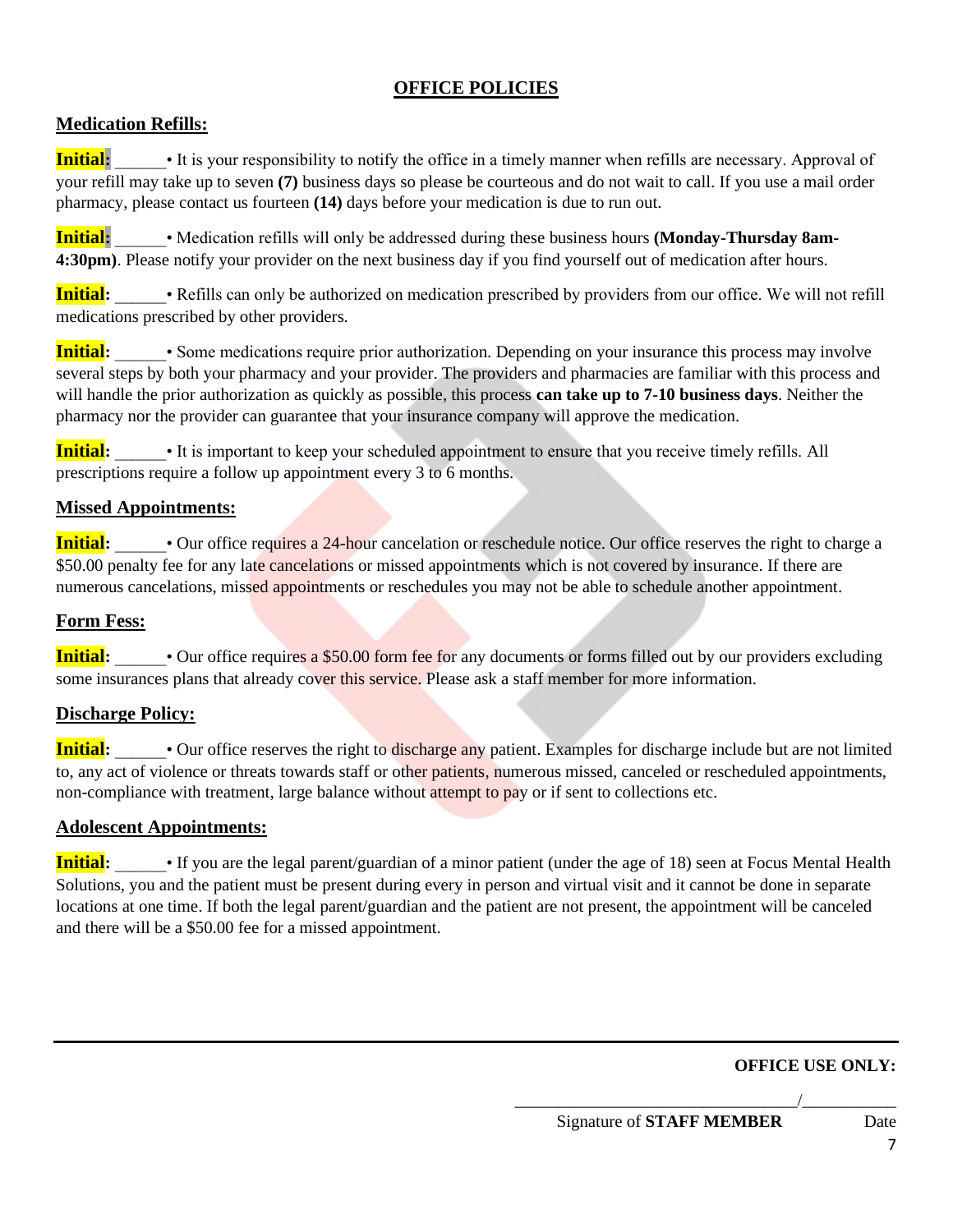# **OFFICE POLICIES**

# **Medication Refills:**

**Initial:** • It is your responsibility to notify the office in a timely manner when refills are necessary. Approval of your refill may take up to seven **(7)** business days so please be courteous and do not wait to call. If you use a mail order pharmacy, please contact us fourteen **(14)** days before your medication is due to run out.

**Initial:** • Medication refills will only be addressed during these business hours **(Monday-Thursday 8am-4:30pm)**. Please notify your provider on the next business day if you find yourself out of medication after hours.

**Initial**: • Refills can only be authorized on medication prescribed by providers from our office. We will not refill medications prescribed by other providers.

**Initial:** • Some medications require prior authorization. Depending on your insurance this process may involve several steps by both your pharmacy and your provider. The providers and pharmacies are familiar with this process and will handle the prior authorization as quickly as possible, this process **can take up to 7-10 business days**. Neither the pharmacy nor the provider can guarantee that your insurance company will approve the medication.

**Initial:**  $\bullet$  It is important to keep your scheduled appointment to ensure that you receive timely refills. All prescriptions require a follow up appointment every 3 to 6 months.

### **Missed Appointments:**

**Initial:** • Our office requires a 24-hour cancelation or reschedule notice. Our office reserves the right to charge a \$50.00 penalty fee for any late cancelations or missed appointments which is not covered by insurance. If there are numerous cancelations, missed appointments or reschedules you may not be able to schedule another appointment.

### **Form Fess:**

**Initial:** • Our office requires a \$50.00 form fee for any documents or forms filled out by our providers excluding some insurances plans that already cover this service. Please ask a staff member for more information.

### **Discharge Policy:**

**Initial:** • Our office reserves the right to discharge any patient. Examples for discharge include but are not limited to, any act of violence or threats towards staff or other patients, numerous missed, canceled or rescheduled appointments, non-compliance with treatment, large balance without attempt to pay or if sent to collections etc.

### **Adolescent Appointments:**

**Initial:** Figure 11 Figure 1: 15 You are the legal parent/guardian of a minor patient (under the age of 18) seen at Focus Mental Health Solutions, you and the patient must be present during every in person and virtual visit and it cannot be done in separate locations at one time. If both the legal parent/guardian and the patient are not present, the appointment will be canceled and there will be a \$50.00 fee for a missed appointment.

### **OFFICE USE ONLY:**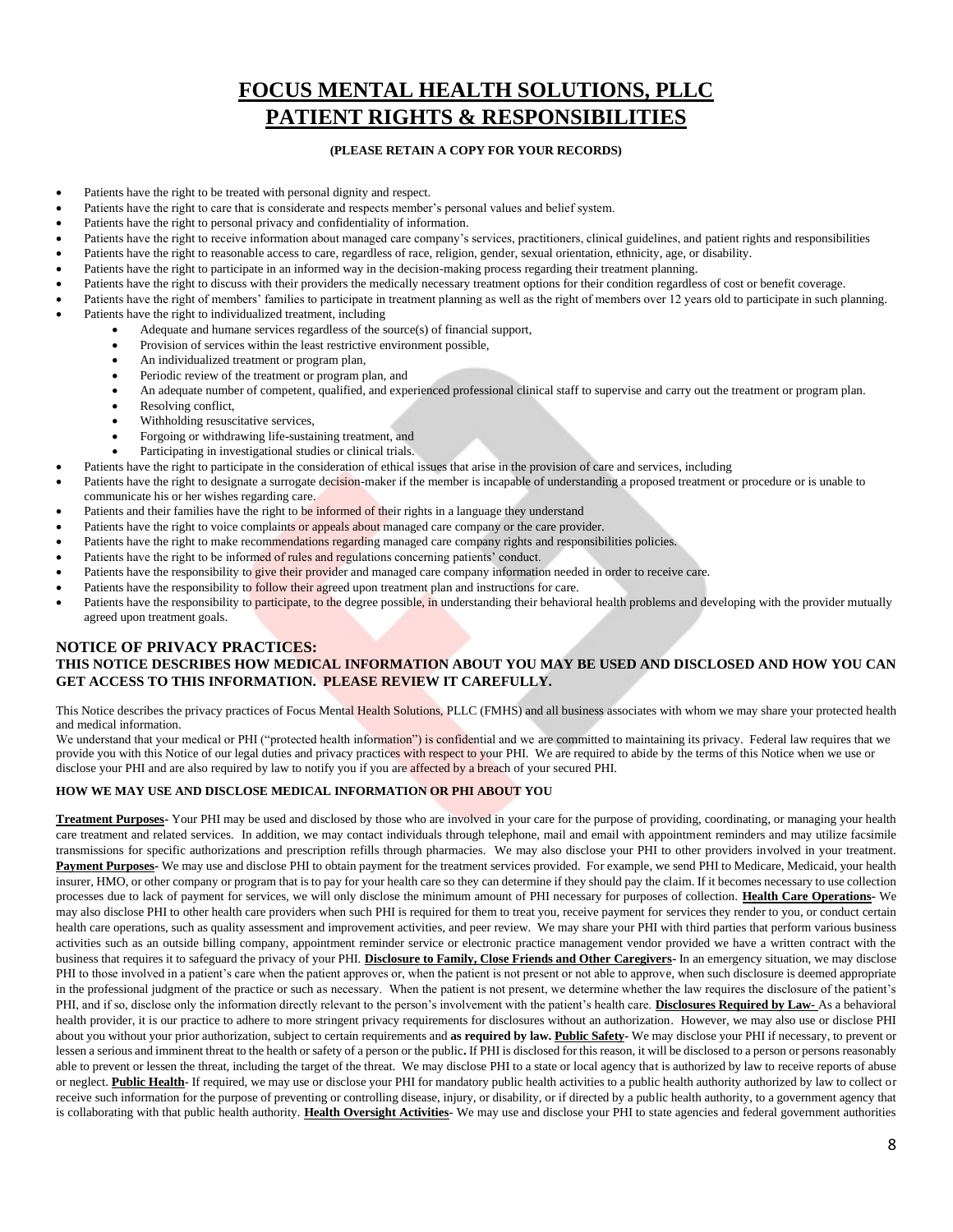# **FOCUS MENTAL HEALTH SOLUTIONS, PLLC PATIENT RIGHTS & RESPONSIBILITIES**

#### **(PLEASE RETAIN A COPY FOR YOUR RECORDS)**

- Patients have the right to be treated with personal dignity and respect.
- Patients have the right to care that is considerate and respects member's personal values and belief system.
- Patients have the right to personal privacy and confidentiality of information.
- Patients have the right to receive information about managed care company's services, practitioners, clinical guidelines, and patient rights and responsibilities
- Patients have the right to reasonable access to care, regardless of race, religion, gender, sexual orientation, ethnicity, age, or disability.
- Patients have the right to participate in an informed way in the decision-making process regarding their treatment planning.
- Patients have the right to discuss with their providers the medically necessary treatment options for their condition regardless of cost or benefit coverage.
- Patients have the right of members' families to participate in treatment planning as well as the right of members over 12 years old to participate in such planning.
- Patients have the right to individualized treatment, including
	- Adequate and humane services regardless of the source(s) of financial support,
	- Provision of services within the least restrictive environment possible,
	- An individualized treatment or program plan,
	- Periodic review of the treatment or program plan, and
	- An adequate number of competent, qualified, and experienced professional clinical staff to supervise and carry out the treatment or program plan.
	- Resolving conflict,
	- Withholding resuscitative services,
	- Forgoing or withdrawing life-sustaining treatment, and
	- Participating in investigational studies or clinical trials.
- Patients have the right to participate in the consideration of ethical issues that arise in the provision of care and services, including
- Patients have the right to designate a surrogate decision-maker if the member is incapable of understanding a proposed treatment or procedure or is unable to communicate his or her wishes regarding care.
- Patients and their families have the right to be informed of their rights in a language they understand
- Patients have the right to voice complaints or appeals about managed care company or the care provider.
- Patients have the right to make recommendations regarding managed care company rights and responsibilities policies.
- Patients have the right to be informed of rules and regulations concerning patients' conduct.
- Patients have the responsibility to give their provider and managed care company information needed in order to receive care.
- Patients have the responsibility to follow their agreed upon treatment plan and instructions for care.
- Patients have the responsibility to participate, to the degree possible, in understanding their behavioral health problems and developing with the provider mutually agreed upon treatment goals.

#### **NOTICE OF PRIVACY PRACTICES:**

#### **THIS NOTICE DESCRIBES HOW MEDICAL INFORMATION ABOUT YOU MAY BE USED AND DISCLOSED AND HOW YOU CAN GET ACCESS TO THIS INFORMATION. PLEASE REVIEW IT CAREFULLY.**

This Notice describes the privacy practices of Focus Mental Health Solutions, PLLC (FMHS) and all business associates with whom we may share your protected health and medical information.

We understand that your medical or PHI ("protected health information") is confidential and we are committed to maintaining its privacy. Federal law requires that we provide you with this Notice of our legal duties and privacy practices with respect to your PHI. We are required to abide by the terms of this Notice when we use or disclose your PHI and are also required by law to notify you if you are affected by a breach of your secured PHI.

#### **HOW WE MAY USE AND DISCLOSE MEDICAL INFORMATION OR PHI ABOUT YOU**

**Treatment Purposes-** Your PHI may be used and disclosed by those who are involved in your care for the purpose of providing, coordinating, or managing your health care treatment and related services. In addition, we may contact individuals through telephone, mail and email with appointment reminders and may utilize facsimile transmissions for specific authorizations and prescription refills through pharmacies. We may also disclose your PHI to other providers involved in your treatment. Payment Purposes- We may use and disclose PHI to obtain payment for the treatment services provided. For example, we send PHI to Medicare, Medicaid, your health insurer, HMO, or other company or program that is to pay for your health care so they can determine if they should pay the claim. If it becomes necessary to use collection processes due to lack of payment for services, we will only disclose the minimum amount of PHI necessary for purposes of collection. **Health Care Operations-** We may also disclose PHI to other health care providers when such PHI is required for them to treat you, receive payment for services they render to you, or conduct certain health care operations, such as quality assessment and improvement activities, and peer review. We may share your PHI with third parties that perform various business activities such as an outside billing company, appointment reminder service or electronic practice management vendor provided we have a written contract with the business that requires it to safeguard the privacy of your PHI. **Disclosure to Family, Close Friends and Other Caregivers-** In an emergency situation, we may disclose PHI to those involved in a patient's care when the patient approves or, when the patient is not present or not able to approve, when such disclosure is deemed appropriate in the professional judgment of the practice or such as necessary. When the patient is not present, we determine whether the law requires the disclosure of the patient's PHI, and if so, disclose only the information directly relevant to the person's involvement with the patient's health care. **Disclosures Required by Law-** As a behavioral health provider, it is our practice to adhere to more stringent privacy requirements for disclosures without an authorization. However, we may also use or disclose PHI about you without your prior authorization, subject to certain requirements and **as required by law. Public Safety-** We may disclose your PHI if necessary, to prevent or lessen a serious and imminent threat to the health or safety of a person or the public**.** If PHI is disclosed for this reason, it will be disclosed to a person or persons reasonably able to prevent or lessen the threat, including the target of the threat. We may disclose PHI to a state or local agency that is authorized by law to receive reports of abuse or neglect. **Public Health**- If required, we may use or disclose your PHI for mandatory public health activities to a public health authority authorized by law to collect or receive such information for the purpose of preventing or controlling disease, injury, or disability, or if directed by a public health authority, to a government agency that is collaborating with that public health authority. Health Oversight Activities- We may use and disclose your PHI to state agencies and federal government authorities